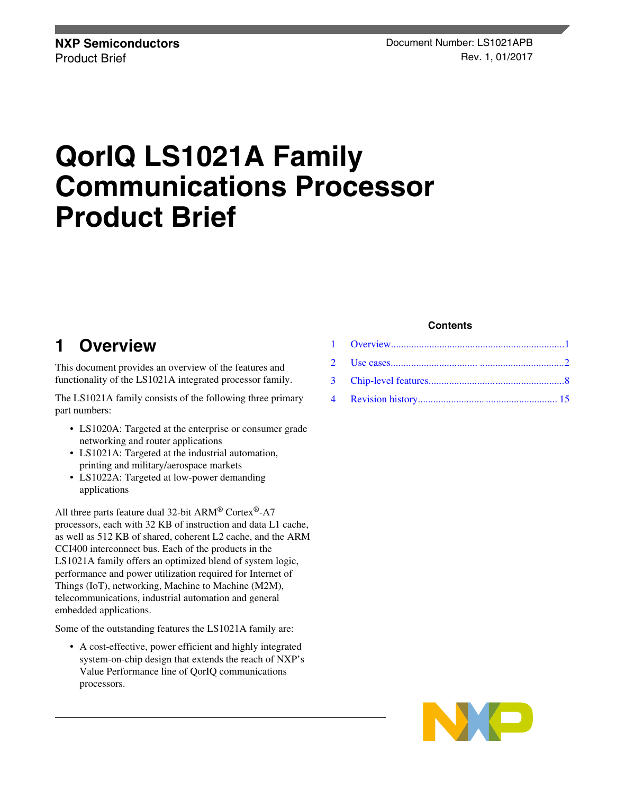# **QorIQ LS1021A Family Communications Processor Product Brief**

# **1 Overview**

This document provides an overview of the features and functionality of the LS1021A integrated processor family.

The LS1021A family consists of the following three primary part numbers:

- LS1020A: Targeted at the enterprise or consumer grade networking and router applications
- LS1021A: Targeted at the industrial automation, printing and military/aerospace markets
- LS1022A: Targeted at low-power demanding applications

All three parts feature dual 32-bit ARM® Cortex®-A7 processors, each with 32 KB of instruction and data L1 cache, as well as 512 KB of shared, coherent L2 cache, and the ARM CCI400 interconnect bus. Each of the products in the LS1021A family offers an optimized blend of system logic, performance and power utilization required for Internet of Things (IoT), networking, Machine to Machine (M2M), telecommunications, industrial automation and general embedded applications.

Some of the outstanding features the LS1021A family are:

• A cost-effective, power efficient and highly integrated system-on-chip design that extends the reach of NXP's Value Performance line of QorIQ communications processors.

#### **Contents**

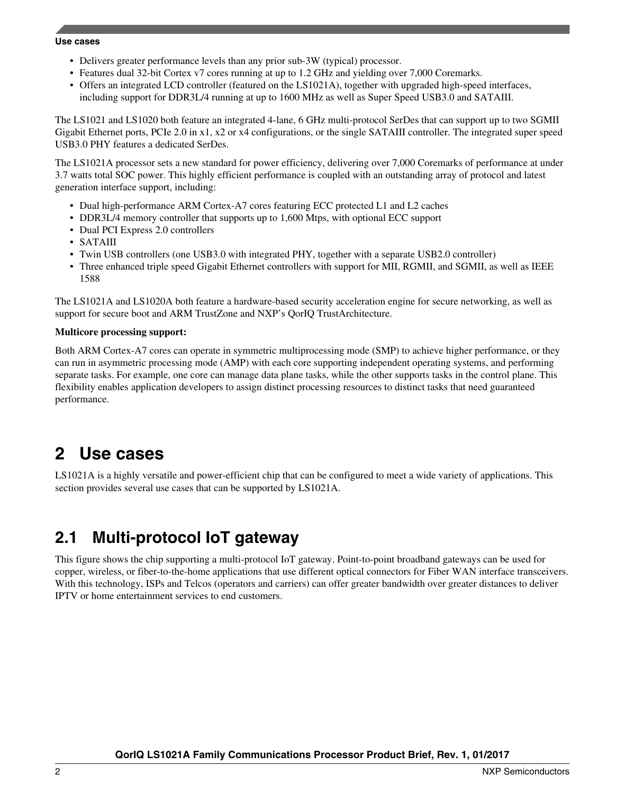- <span id="page-1-0"></span>• Delivers greater performance levels than any prior sub-3W (typical) processor.
- Features dual 32-bit Cortex v7 cores running at up to 1.2 GHz and yielding over 7,000 Coremarks.
- Offers an integrated LCD controller (featured on the LS1021A), together with upgraded high-speed interfaces, including support for DDR3L/4 running at up to 1600 MHz as well as Super Speed USB3.0 and SATAIII.

The LS1021 and LS1020 both feature an integrated 4-lane, 6 GHz multi-protocol SerDes that can support up to two SGMII Gigabit Ethernet ports, PCIe 2.0 in x1, x2 or x4 configurations, or the single SATAIII controller. The integrated super speed USB3.0 PHY features a dedicated SerDes.

The LS1021A processor sets a new standard for power efficiency, delivering over 7,000 Coremarks of performance at under 3.7 watts total SOC power. This highly efficient performance is coupled with an outstanding array of protocol and latest generation interface support, including:

- Dual high-performance ARM Cortex-A7 cores featuring ECC protected L1 and L2 caches
- DDR3L/4 memory controller that supports up to 1,600 Mtps, with optional ECC support
- Dual PCI Express 2.0 controllers
- SATAIII
- Twin USB controllers (one USB3.0 with integrated PHY, together with a separate USB2.0 controller)
- Three enhanced triple speed Gigabit Ethernet controllers with support for MII, RGMII, and SGMII, as well as IEEE 1588

The LS1021A and LS1020A both feature a hardware-based security acceleration engine for secure networking, as well as support for secure boot and ARM TrustZone and NXP's QorIQ TrustArchitecture.

#### **Multicore processing support:**

Both ARM Cortex-A7 cores can operate in symmetric multiprocessing mode (SMP) to achieve higher performance, or they can run in asymmetric processing mode (AMP) with each core supporting independent operating systems, and performing separate tasks. For example, one core can manage data plane tasks, while the other supports tasks in the control plane. This flexibility enables application developers to assign distinct processing resources to distinct tasks that need guaranteed performance.

## **2 Use cases**

LS1021A is a highly versatile and power-efficient chip that can be configured to meet a wide variety of applications. This section provides several use cases that can be supported by LS1021A.

### **2.1 Multi-protocol IoT gateway**

This figure shows the chip supporting a multi-protocol IoT gateway. Point-to-point broadband gateways can be used for copper, wireless, or fiber-to-the-home applications that use different optical connectors for Fiber WAN interface transceivers. With this technology, ISPs and Telcos (operators and carriers) can offer greater bandwidth over greater distances to deliver IPTV or home entertainment services to end customers.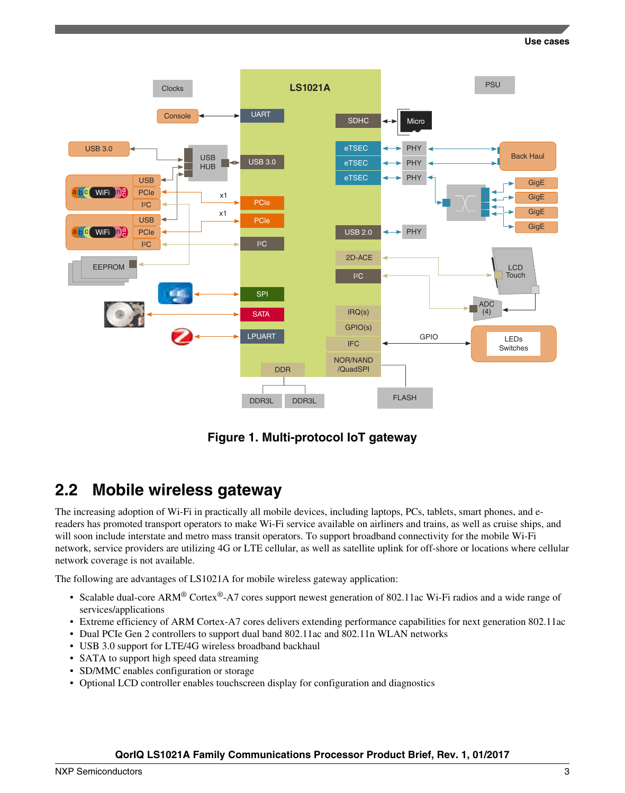

**Figure 1. Multi-protocol IoT gateway**

### **2.2 Mobile wireless gateway**

The increasing adoption of Wi-Fi in practically all mobile devices, including laptops, PCs, tablets, smart phones, and ereaders has promoted transport operators to make Wi-Fi service available on airliners and trains, as well as cruise ships, and will soon include interstate and metro mass transit operators. To support broadband connectivity for the mobile Wi-Fi network, service providers are utilizing 4G or LTE cellular, as well as satellite uplink for off-shore or locations where cellular network coverage is not available.

The following are advantages of LS1021A for mobile wireless gateway application:

- Scalable dual-core ARM<sup>®</sup> Cortex<sup>®</sup>-A7 cores support newest generation of 802.11ac Wi-Fi radios and a wide range of services/applications
- Extreme efficiency of ARM Cortex-A7 cores delivers extending performance capabilities for next generation 802.11ac
- Dual PCIe Gen 2 controllers to support dual band 802.11ac and 802.11n WLAN networks
- USB 3.0 support for LTE/4G wireless broadband backhaul
- SATA to support high speed data streaming
- SD/MMC enables configuration or storage
- Optional LCD controller enables touchscreen display for configuration and diagnostics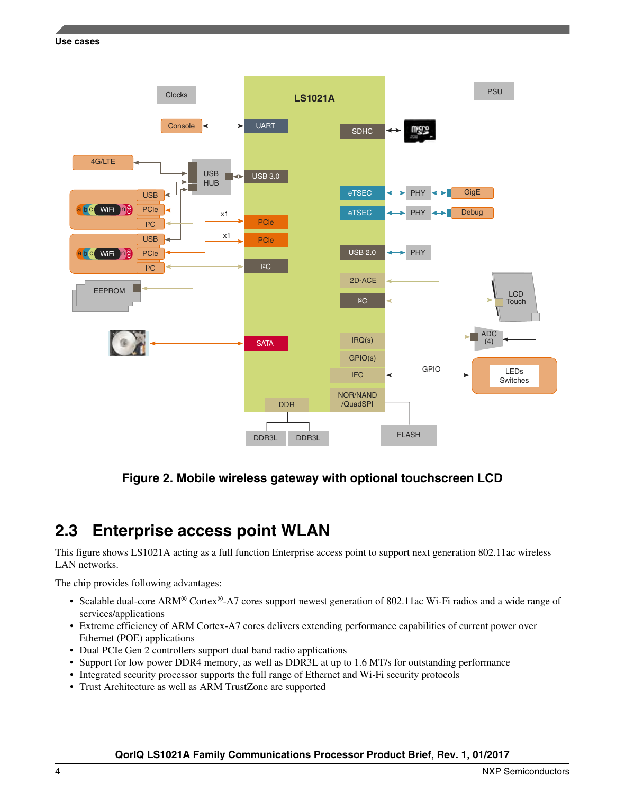

### **Figure 2. Mobile wireless gateway with optional touchscreen LCD**

### **2.3 Enterprise access point WLAN**

This figure shows LS1021A acting as a full function Enterprise access point to support next generation 802.11ac wireless LAN networks.

The chip provides following advantages:

- Scalable dual-core ARM® Cortex®-A7 cores support newest generation of 802.11ac Wi-Fi radios and a wide range of services/applications
- Extreme efficiency of ARM Cortex-A7 cores delivers extending performance capabilities of current power over Ethernet (POE) applications
- Dual PCIe Gen 2 controllers support dual band radio applications
- Support for low power DDR4 memory, as well as DDR3L at up to 1.6 MT/s for outstanding performance
- Integrated security processor supports the full range of Ethernet and Wi-Fi security protocols
- Trust Architecture as well as ARM TrustZone are supported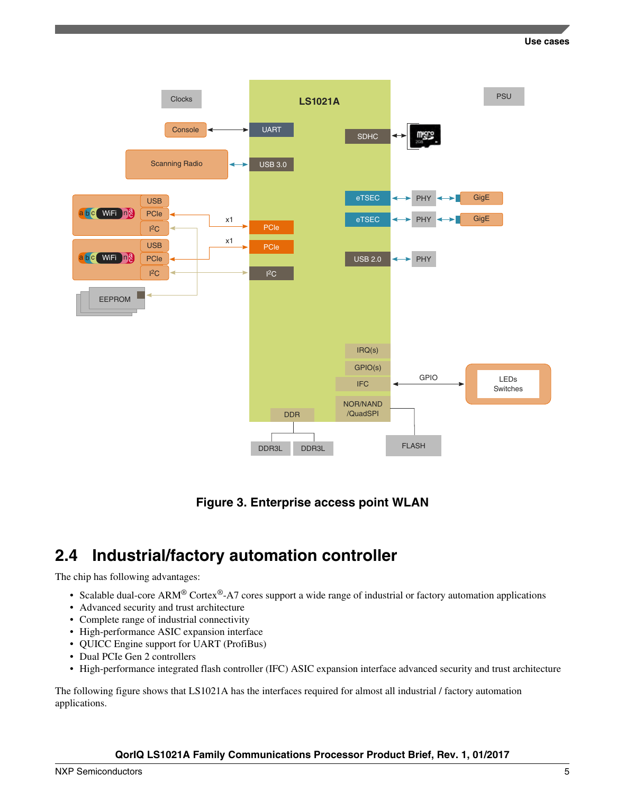

**Figure 3. Enterprise access point WLAN**

### **2.4 Industrial/factory automation controller**

The chip has following advantages:

- Scalable dual-core ARM<sup>®</sup> Cortex<sup>®</sup>-A7 cores support a wide range of industrial or factory automation applications
- Advanced security and trust architecture
- Complete range of industrial connectivity
- High-performance ASIC expansion interface
- QUICC Engine support for UART (ProfiBus)
- Dual PCIe Gen 2 controllers
- High-performance integrated flash controller (IFC) ASIC expansion interface advanced security and trust architecture

The following figure shows that LS1021A has the interfaces required for almost all industrial / factory automation applications.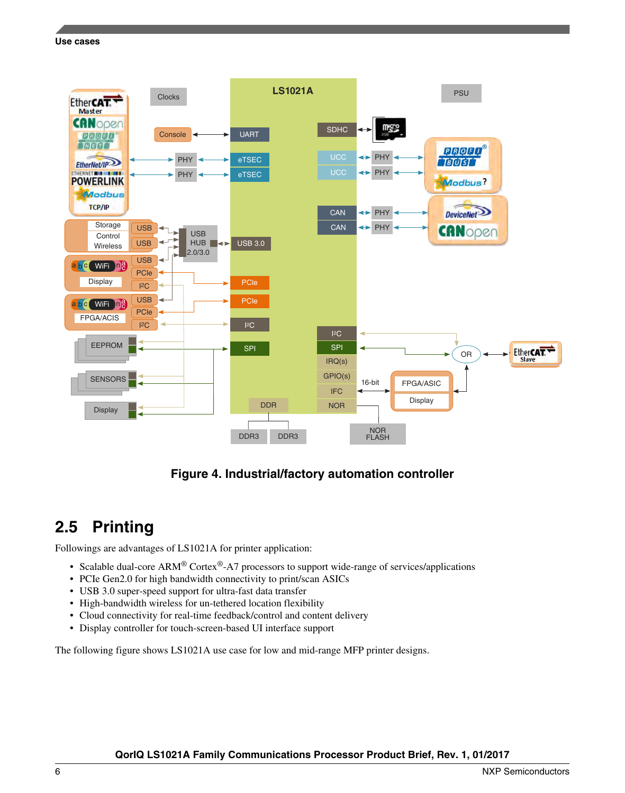

### **Figure 4. Industrial/factory automation controller**

### **2.5 Printing**

Followings are advantages of LS1021A for printer application:

- Scalable dual-core  $ARM^{\circledast}$  Cortex<sup>®</sup>-A7 processors to support wide-range of services/applications
- PCIe Gen2.0 for high bandwidth connectivity to print/scan ASICs
- USB 3.0 super-speed support for ultra-fast data transfer
- High-bandwidth wireless for un-tethered location flexibility
- Cloud connectivity for real-time feedback/control and content delivery
- Display controller for touch-screen-based UI interface support

The following figure shows LS1021A use case for low and mid-range MFP printer designs.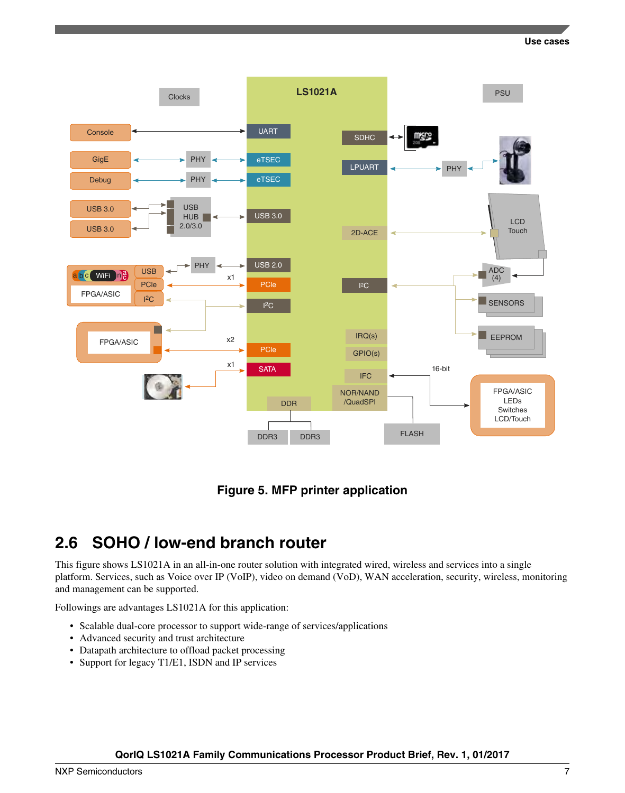

### **Figure 5. MFP printer application**

### **2.6 SOHO / low-end branch router**

This figure shows LS1021A in an all-in-one router solution with integrated wired, wireless and services into a single platform. Services, such as Voice over IP (VoIP), video on demand (VoD), WAN acceleration, security, wireless, monitoring and management can be supported.

Followings are advantages LS1021A for this application:

- Scalable dual-core processor to support wide-range of services/applications
- Advanced security and trust architecture
- Datapath architecture to offload packet processing
- Support for legacy T1/E1, ISDN and IP services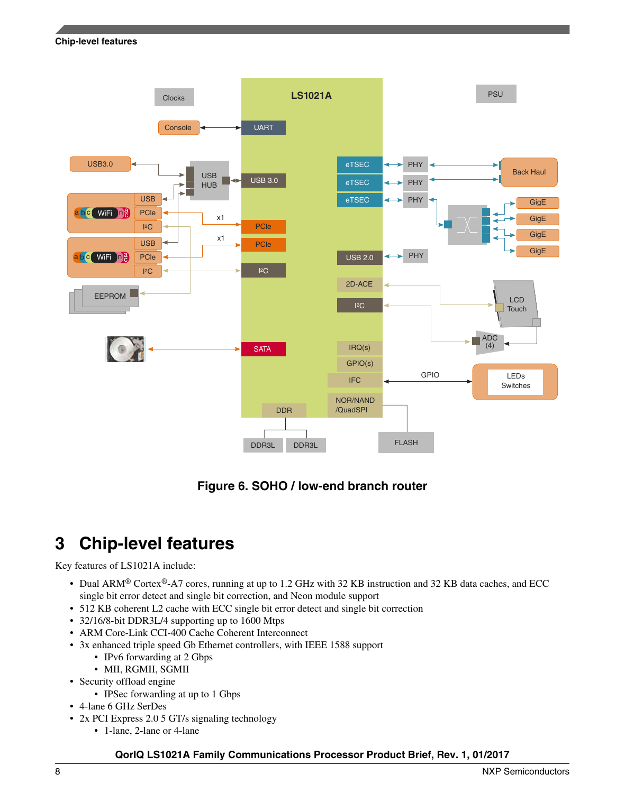<span id="page-7-0"></span>

**Figure 6. SOHO / low-end branch router**

# **3 Chip-level features**

#### Key features of LS1021A include:

- Dual ARM® Cortex®-A7 cores, running at up to 1.2 GHz with 32 KB instruction and 32 KB data caches, and ECC single bit error detect and single bit correction, and Neon module support
- 512 KB coherent L2 cache with ECC single bit error detect and single bit correction
- 32/16/8-bit DDR3L/4 supporting up to 1600 Mtps
- ARM Core-Link CCI-400 Cache Coherent Interconnect
- 3x enhanced triple speed Gb Ethernet controllers, with IEEE 1588 support
	- IPv6 forwarding at 2 Gbps
	- MII, RGMII, SGMII
- Security offload engine
	- IPSec forwarding at up to 1 Gbps
- 4-lane 6 GHz SerDes
- 2x PCI Express 2.0 5 GT/s signaling technology
	- 1-lane, 2-lane or 4-lane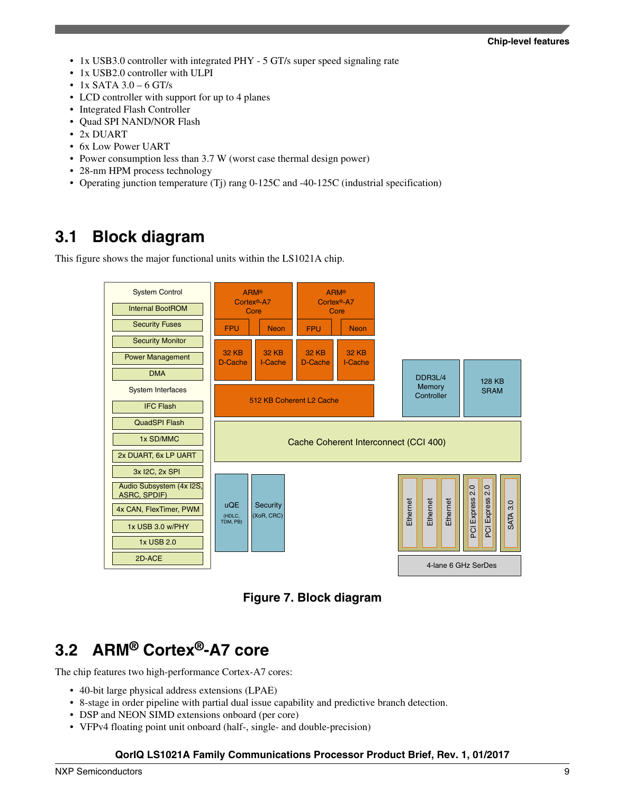- 1x USB3.0 controller with integrated PHY 5 GT/s super speed signaling rate
- 1x USB2.0 controller with ULPI
- $\bullet$  1x SATA 3.0 6 GT/s
- LCD controller with support for up to 4 planes
- Integrated Flash Controller
- Quad SPI NAND/NOR Flash
- 2x DUART
- 6x Low Power UART
- Power consumption less than 3.7 W (worst case thermal design power)
- 28-nm HPM process technology
- Operating junction temperature (Tj) rang 0-125C and -40-125C (industrial specification)

### **3.1 Block diagram**

This figure shows the major functional units within the LS1021A chip.



Core Complex Basic Peripherals and Interconnect **Figure 7. Block diagram**

# **3.2 ARM® Cortex®-A7 core**

The chip features two high-performance Cortex-A7 cores:

- 40-bit large physical address extensions (LPAE)
- 8-stage in order pipeline with partial dual issue capability and predictive branch detection.
- DSP and NEON SIMD extensions onboard (per core)
- VFPv4 floating point unit onboard (half-, single- and double-precision)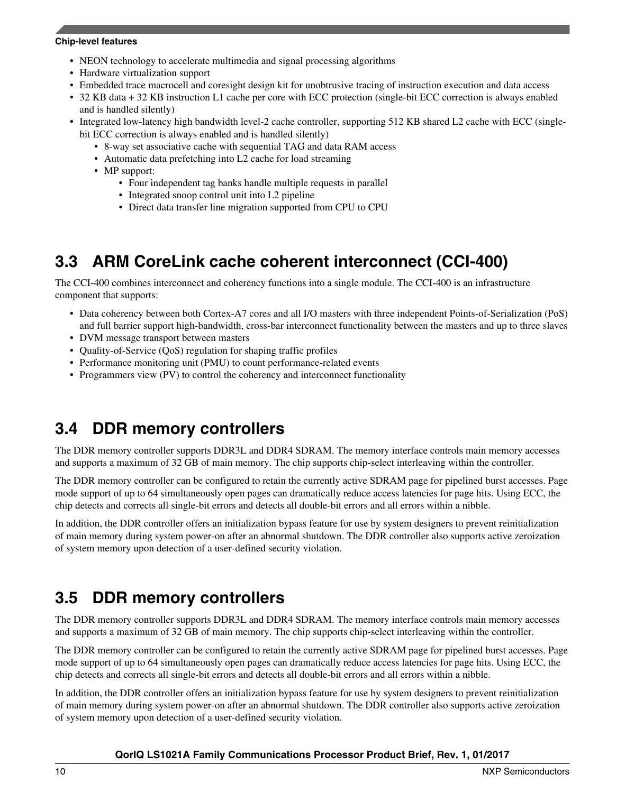- NEON technology to accelerate multimedia and signal processing algorithms
- Hardware virtualization support
- Embedded trace macrocell and coresight design kit for unobtrusive tracing of instruction execution and data access
- 32 KB data + 32 KB instruction L1 cache per core with ECC protection (single-bit ECC correction is always enabled and is handled silently)
- Integrated low-latency high bandwidth level-2 cache controller, supporting 512 KB shared L2 cache with ECC (singlebit ECC correction is always enabled and is handled silently)
	- 8-way set associative cache with sequential TAG and data RAM access
	- Automatic data prefetching into L2 cache for load streaming
	- MP support:
		- Four independent tag banks handle multiple requests in parallel
		- Integrated snoop control unit into L2 pipeline
		- Direct data transfer line migration supported from CPU to CPU

## **3.3 ARM CoreLink cache coherent interconnect (CCI-400)**

The CCI-400 combines interconnect and coherency functions into a single module. The CCI-400 is an infrastructure component that supports:

- Data coherency between both Cortex-A7 cores and all I/O masters with three independent Points-of-Serialization (PoS) and full barrier support high-bandwidth, cross-bar interconnect functionality between the masters and up to three slaves
- DVM message transport between masters
- Quality-of-Service (QoS) regulation for shaping traffic profiles
- Performance monitoring unit (PMU) to count performance-related events
- Programmers view (PV) to control the coherency and interconnect functionality

## **3.4 DDR memory controllers**

The DDR memory controller supports DDR3L and DDR4 SDRAM. The memory interface controls main memory accesses and supports a maximum of 32 GB of main memory. The chip supports chip-select interleaving within the controller.

The DDR memory controller can be configured to retain the currently active SDRAM page for pipelined burst accesses. Page mode support of up to 64 simultaneously open pages can dramatically reduce access latencies for page hits. Using ECC, the chip detects and corrects all single-bit errors and detects all double-bit errors and all errors within a nibble.

In addition, the DDR controller offers an initialization bypass feature for use by system designers to prevent reinitialization of main memory during system power-on after an abnormal shutdown. The DDR controller also supports active zeroization of system memory upon detection of a user-defined security violation.

## **3.5 DDR memory controllers**

The DDR memory controller supports DDR3L and DDR4 SDRAM. The memory interface controls main memory accesses and supports a maximum of 32 GB of main memory. The chip supports chip-select interleaving within the controller.

The DDR memory controller can be configured to retain the currently active SDRAM page for pipelined burst accesses. Page mode support of up to 64 simultaneously open pages can dramatically reduce access latencies for page hits. Using ECC, the chip detects and corrects all single-bit errors and detects all double-bit errors and all errors within a nibble.

In addition, the DDR controller offers an initialization bypass feature for use by system designers to prevent reinitialization of main memory during system power-on after an abnormal shutdown. The DDR controller also supports active zeroization of system memory upon detection of a user-defined security violation.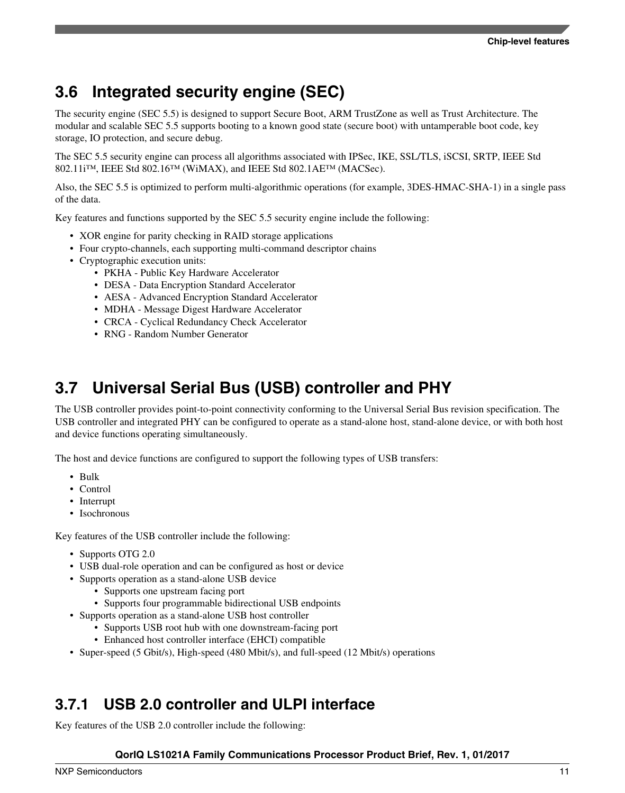# **3.6 Integrated security engine (SEC)**

The security engine (SEC 5.5) is designed to support Secure Boot, ARM TrustZone as well as Trust Architecture. The modular and scalable SEC 5.5 supports booting to a known good state (secure boot) with untamperable boot code, key storage, IO protection, and secure debug.

The SEC 5.5 security engine can process all algorithms associated with IPSec, IKE, SSL/TLS, iSCSI, SRTP, IEEE Std 802.11 $i^{\text{TM}}$ , IEEE Std 802.16 $^{\text{TM}}$  (WiMAX), and IEEE Std 802.1AE<sup>TM</sup> (MACSec).

Also, the SEC 5.5 is optimized to perform multi-algorithmic operations (for example, 3DES-HMAC-SHA-1) in a single pass of the data.

Key features and functions supported by the SEC 5.5 security engine include the following:

- XOR engine for parity checking in RAID storage applications
- Four crypto-channels, each supporting multi-command descriptor chains
- Cryptographic execution units:
	- PKHA Public Key Hardware Accelerator
	- DESA Data Encryption Standard Accelerator
	- AESA Advanced Encryption Standard Accelerator
	- MDHA Message Digest Hardware Accelerator
	- CRCA Cyclical Redundancy Check Accelerator
	- RNG Random Number Generator

### **3.7 Universal Serial Bus (USB) controller and PHY**

The USB controller provides point-to-point connectivity conforming to the Universal Serial Bus revision specification. The USB controller and integrated PHY can be configured to operate as a stand-alone host, stand-alone device, or with both host and device functions operating simultaneously.

The host and device functions are configured to support the following types of USB transfers:

- Bulk
- Control
- Interrupt
- Isochronous

Key features of the USB controller include the following:

- Supports OTG 2.0
- USB dual-role operation and can be configured as host or device
- Supports operation as a stand-alone USB device
	- Supports one upstream facing port
	- Supports four programmable bidirectional USB endpoints
- Supports operation as a stand-alone USB host controller
	- Supports USB root hub with one downstream-facing port
	- Enhanced host controller interface (EHCI) compatible
- Super-speed (5 Gbit/s), High-speed (480 Mbit/s), and full-speed (12 Mbit/s) operations

### **3.7.1 USB 2.0 controller and ULPI interface**

Key features of the USB 2.0 controller include the following: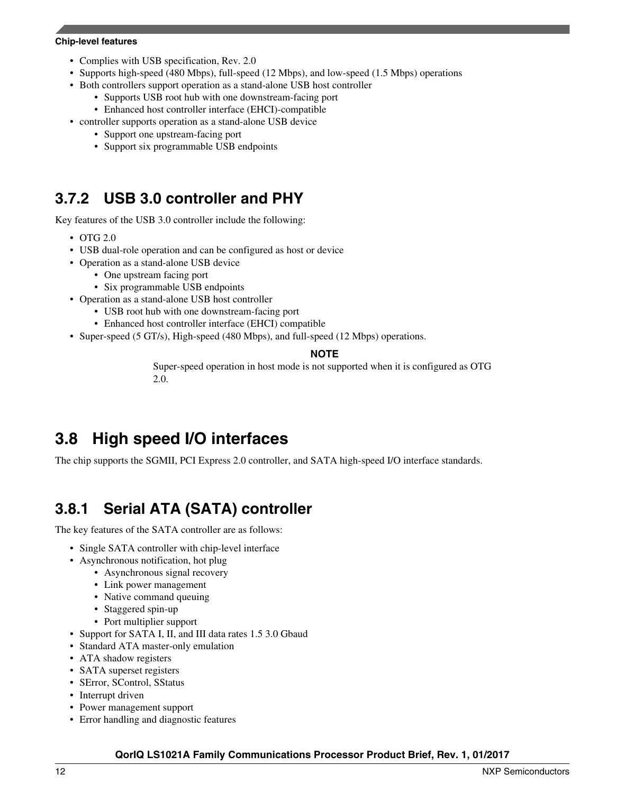- Complies with USB specification, Rev. 2.0
- Supports high-speed (480 Mbps), full-speed (12 Mbps), and low-speed (1.5 Mbps) operations
- Both controllers support operation as a stand-alone USB host controller
	- Supports USB root hub with one downstream-facing port
	- Enhanced host controller interface (EHCI)-compatible
- controller supports operation as a stand-alone USB device
	- Support one upstream-facing port
	- Support six programmable USB endpoints

### **3.7.2 USB 3.0 controller and PHY**

Key features of the USB 3.0 controller include the following:

- OTG 2.0
- USB dual-role operation and can be configured as host or device
- Operation as a stand-alone USB device
	- One upstream facing port
	- Six programmable USB endpoints
- Operation as a stand-alone USB host controller
	- USB root hub with one downstream-facing port
	- Enhanced host controller interface (EHCI) compatible
- Super-speed (5 GT/s), High-speed (480 Mbps), and full-speed (12 Mbps) operations.

#### **NOTE**

Super-speed operation in host mode is not supported when it is configured as OTG 2.0.

# **3.8 High speed I/O interfaces**

The chip supports the SGMII, PCI Express 2.0 controller, and SATA high-speed I/O interface standards.

## **3.8.1 Serial ATA (SATA) controller**

The key features of the SATA controller are as follows:

- Single SATA controller with chip-level interface
- Asynchronous notification, hot plug
	- Asynchronous signal recovery
	- Link power management
	- Native command queuing
	- Staggered spin-up
	- Port multiplier support
- Support for SATA I, II, and III data rates 1.5 3.0 Gbaud
- Standard ATA master-only emulation
- ATA shadow registers
- SATA superset registers
- SError, SControl, SStatus
- Interrupt driven
- Power management support
- Error handling and diagnostic features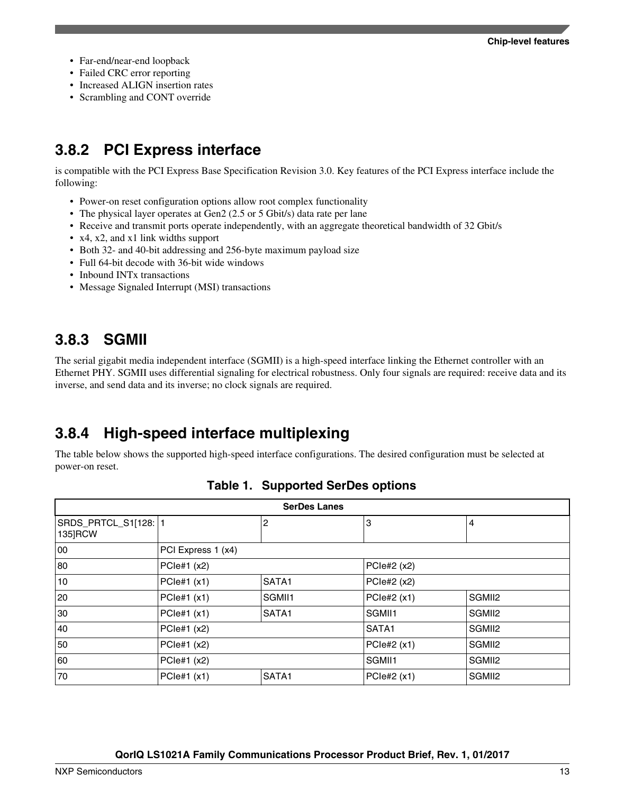- Far-end/near-end loopback
- Failed CRC error reporting
- Increased ALIGN insertion rates
- Scrambling and CONT override

### **3.8.2 PCI Express interface**

is compatible with the PCI Express Base Specification Revision 3.0. Key features of the PCI Express interface include the following:

- Power-on reset configuration options allow root complex functionality
- The physical layer operates at Gen2 (2.5 or 5 Gbit/s) data rate per lane
- Receive and transmit ports operate independently, with an aggregate theoretical bandwidth of 32 Gbit/s
- x4, x2, and x1 link widths support
- Both 32- and 40-bit addressing and 256-byte maximum payload size
- Full 64-bit decode with 36-bit wide windows
- Inbound INT<sub>x</sub> transactions
- Message Signaled Interrupt (MSI) transactions

### **3.8.3 SGMII**

The serial gigabit media independent interface (SGMII) is a high-speed interface linking the Ethernet controller with an Ethernet PHY. SGMII uses differential signaling for electrical robustness. Only four signals are required: receive data and its inverse, and send data and its inverse; no clock signals are required.

### **3.8.4 High-speed interface multiplexing**

The table below shows the supported high-speed interface configurations. The desired configuration must be selected at power-on reset.

| <b>SerDes Lanes</b> |                    |               |                    |        |  |
|---------------------|--------------------|---------------|--------------------|--------|--|
| 135]RCW             |                    | 2             | 3                  | 4      |  |
| 00                  | PCI Express 1 (x4) |               |                    |        |  |
| 80                  | PCle#1 $(x2)$      |               | PCle#2 (x2)        |        |  |
| 10                  | PCle#1 (x1)        | SATA1         | PCle#2 (x2)        |        |  |
| 20                  | PCle#1 (x1)        | SGMII1        | PCle#2 (x1)        | SGMII2 |  |
| 30                  | PCle#1 (x1)        | SATA1         | SGMII1             | SGMII2 |  |
| 40                  | PCle#1 (x2)        |               | <b>SATA1</b>       | SGMII2 |  |
| 50<br>PCle#1 (x2)   |                    |               | PCle#2 (x1)        | SGMII2 |  |
| 60<br>PCle#1 $(x2)$ |                    | <b>SGMII1</b> | SGMII <sub>2</sub> |        |  |
| 70                  | PCle#1 (x1)        | SATA1         | PCle#2 (x1)        | SGMII2 |  |

|  | <b>Table 1. Supported SerDes options</b> |  |  |
|--|------------------------------------------|--|--|
|--|------------------------------------------|--|--|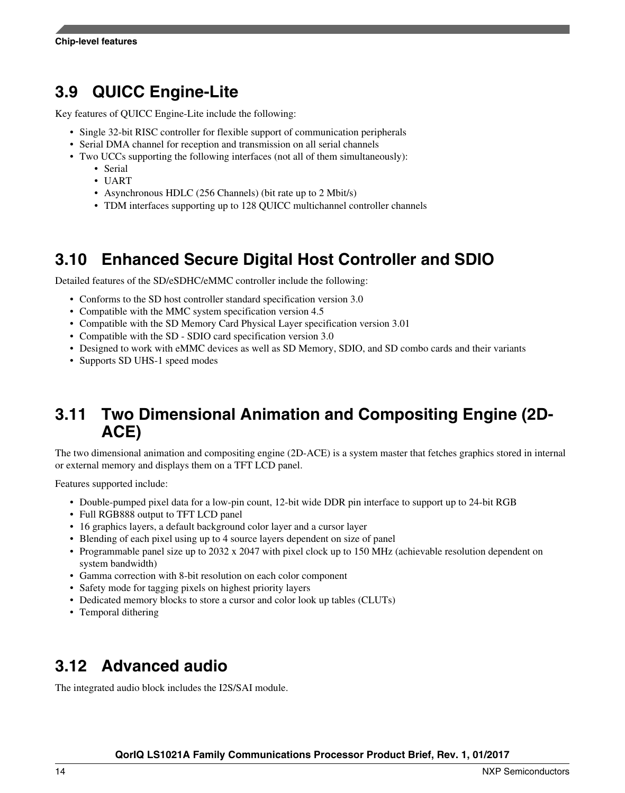# **3.9 QUICC Engine-Lite**

Key features of QUICC Engine-Lite include the following:

- Single 32-bit RISC controller for flexible support of communication peripherals
- Serial DMA channel for reception and transmission on all serial channels
- Two UCCs supporting the following interfaces (not all of them simultaneously):
	- Serial
	- UART
	- Asynchronous HDLC (256 Channels) (bit rate up to 2 Mbit/s)
	- TDM interfaces supporting up to 128 QUICC multichannel controller channels

# **3.10 Enhanced Secure Digital Host Controller and SDIO**

Detailed features of the SD/eSDHC/eMMC controller include the following:

- Conforms to the SD host controller standard specification version 3.0
- Compatible with the MMC system specification version 4.5
- Compatible with the SD Memory Card Physical Layer specification version 3.01
- Compatible with the SD SDIO card specification version 3.0
- Designed to work with eMMC devices as well as SD Memory, SDIO, and SD combo cards and their variants
- Supports SD UHS-1 speed modes

### **3.11 Two Dimensional Animation and Compositing Engine (2D-ACE)**

The two dimensional animation and compositing engine (2D-ACE) is a system master that fetches graphics stored in internal or external memory and displays them on a TFT LCD panel.

Features supported include:

- Double-pumped pixel data for a low-pin count, 12-bit wide DDR pin interface to support up to 24-bit RGB
- Full RGB888 output to TFT LCD panel
- 16 graphics layers, a default background color layer and a cursor layer
- Blending of each pixel using up to 4 source layers dependent on size of panel
- Programmable panel size up to 2032 x 2047 with pixel clock up to 150 MHz (achievable resolution dependent on system bandwidth)
- Gamma correction with 8-bit resolution on each color component
- Safety mode for tagging pixels on highest priority layers
- Dedicated memory blocks to store a cursor and color look up tables (CLUTs)
- Temporal dithering

## **3.12 Advanced audio**

The integrated audio block includes the I2S/SAI module.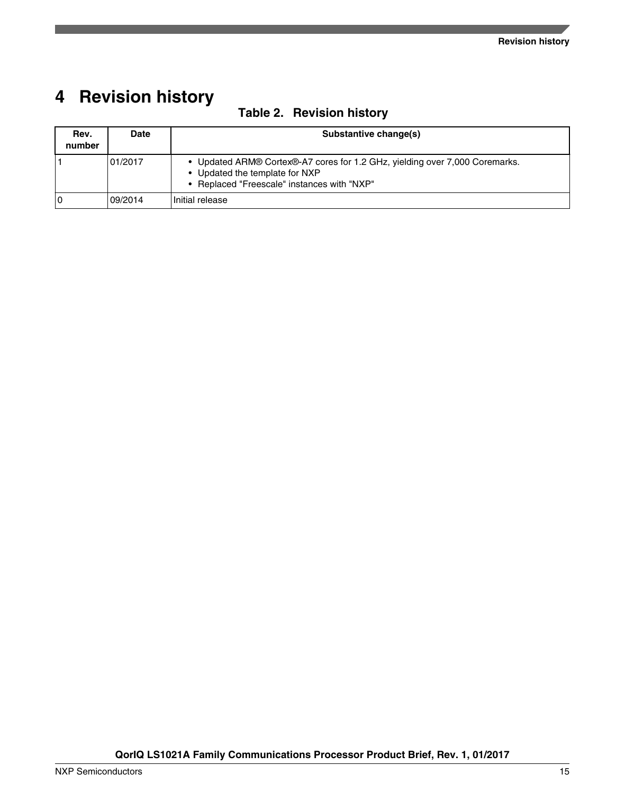# <span id="page-14-0"></span>**4 Revision history**

| Rev.<br>number | Date    | Substantive change(s)                                                                                                                                        |
|----------------|---------|--------------------------------------------------------------------------------------------------------------------------------------------------------------|
|                | 01/2017 | • Updated ARM® Cortex®-A7 cores for 1.2 GHz, yielding over 7,000 Coremarks.<br>• Updated the template for NXP<br>• Replaced "Freescale" instances with "NXP" |
|                | 09/2014 | Initial release                                                                                                                                              |

### **Table 2. Revision history**